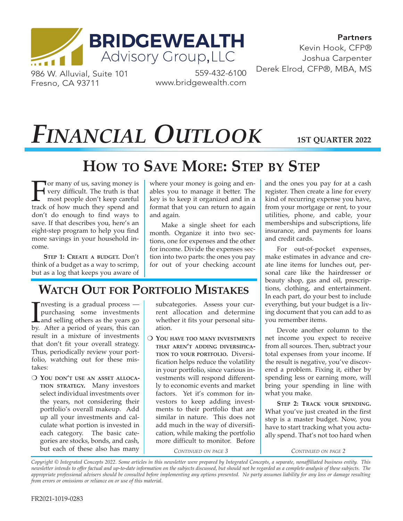

Partners Kevin Hook, CFP® Joshua Carpenter 559-432-6100 Derek Elrod, CFP®, MBA, MS

986 W. Alluvial, Suite 101 Fresno, CA 93711

www.bridgewealth.com

# *FINANCIAL OUTLOOK*

**1ST QUARTER 2022**

## **HOW TO SAVE MORE: STEP BY STEP**

For many of us, saving money is<br>wery difficult. The truth is that<br>most people don't keep careful<br>track of how much they spend and very difficult. The truth is that most people don't keep careful track of how much they spend and don't do enough to find ways to save. If that describes you, here's an eight-step program to help you find more savings in your household income.

**STEP 1: CREATE A BUDGET.** Don't think of a budget as a way to scrimp, but as a log that keeps you aware of where your money is going and enables you to manage it better. The key is to keep it organized and in a format that you can return to again and again.

Make a single sheet for each month. Organize it into two sections, one for expenses and the other for income. Divide the expenses section into two parts: the ones you pay for out of your checking account

## **WATCH OUT FOR PORTFOLIO MISTAKES**

Investing is a gradual process —<br>purchasing some investments<br>and selling others as the years go<br>by. After a period of years, this can nvesting is a gradual process purchasing some investments and selling others as the years go result in a mixture of investments that don't fit your overall strategy. Thus, periodically review your portfolio, watching out for these mistakes:

O YOU DON'T USE AN ASSET ALLOCA-**TION STRATEGY.** Many investors select individual investments over the years, not considering their portfolio's overall makeup. Add up all your investments and calculate what portion is invested in each category. The basic categories are stocks, bonds, and cash, but each of these also has many

subcategories. Assess your current allocation and determine whether it fits your personal situation.

**O YOU HAVE TOO MANY INVESTMENTS THAT AREN'T ADDING DIVERSIFICA-TION TO YOUR PORTFOLIO.** Diversification helps reduce the volatility in your portfolio, since various investments will respond differently to economic events and market factors. Yet it's common for investors to keep adding investments to their portfolio that are similar in nature. This does not add much in the way of diversification, while making the portfolio more difficult to monitor. Before

*CONTINUED ON PAGE 3*

and the ones you pay for at a cash register. Then create a line for every kind of recurring expense you have, from your mortgage or rent, to your utilities, phone, and cable, your memberships and subscriptions, life insurance, and payments for loans and credit cards.

For out-of-pocket expenses, make estimates in advance and create line items for lunches out, personal care like the hairdresser or beauty shop, gas and oil, prescriptions, clothing, and entertainment. In each part, do your best to include everything, but your budget is a living document that you can add to as you remember items.

Devote another column to the net income you expect to receive from all sources. Then, subtract your total expenses from your income. If the result is negative, you've discovered a problem. Fixing it, either by spending less or earning more, will bring your spending in line with what you make.

**STEP 2: TRACK YOUR SPENDING.** What you've just created in the first step is a master budget. Now, you have to start tracking what you actually spend. That's not too hard when

*CONTINUED ON PAGE 2*

*Copyright © Integrated Concepts 2022. Some articles in this newsletter were prepared by Integrated Concepts, a separate, nonaffiliated business entity. This newsletter intends to offer factual and up-to-date information on the subjects discussed, but should not be regarded as a complete analysis of these subjects. The appropriate professional advisers should be consulted before implementing any options presented. No party assumes liability for any loss or damage resulting from errors or omissions or reliance on or use of this material.*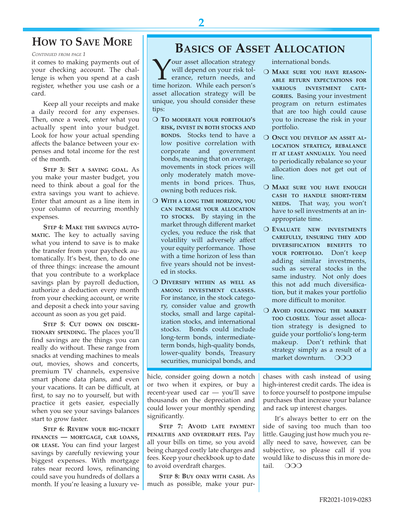#### **HOW TO SAVE MORE**

*CONTINUED FROM PAGE 1*

it comes to making payments out of your checking account. The challenge is when you spend at a cash register, whether you use cash or a card.

Keep all your receipts and make a daily record for any expenses. Then, once a week, enter what you actually spent into your budget. Look for how your actual spending affects the balance between your expenses and total income for the rest of the month.

**STEP 3: SET A SAVING GOAL.** As you make your master budget, you need to think about a goal for the extra savings you want to achieve. Enter that amount as a line item in your column of recurring monthly expenses.

**STEP 4: MAKE THE SAVINGS AUTO-MATIC.** The key to actually saving what you intend to save is to make the transfer from your paycheck automatically. It's best, then, to do one of three things: increase the amount that you contribute to a workplace savings plan by payroll deduction, authorize a deduction every month from your checking account, or write and deposit a check into your saving account as soon as you get paid.

**STEP 5: CUT DOWN ON DISCRE-TIONARY SPENDING.** The places you'll find savings are the things you can really do without. These range from snacks at vending machines to meals out, movies, shows and concerts, premium TV channels, expensive smart phone data plans, and even your vacations. It can be difficult, at first, to say no to yourself, but with practice it gets easier, especially when you see your savings balances start to grow faster.

**STEP 6: REVIEW YOUR BIG-TICKET FINANCES — MORTGAGE, CAR LOANS, OR LEASE.** You can find your largest savings by carefully reviewing your biggest expenses. With mortgage rates near record lows, refinancing could save you hundreds of dollars a month. If you're leasing a luxury ve-

#### **BASICS OF ASSET ALLOCATION**

Your asset allocation strategy time horizon. While each person's will depend on your risk tolerance, return needs, and asset allocation strategy will be unique, you should consider these tips:

- O TO MODERATE YOUR PORTFOLIO'S **RISK, INVEST IN BOTH STOCKS AND BONDS.** Stocks tend to have a low positive correlation with corporate and government bonds, meaning that on average, movements in stock prices will only moderately match movements in bond prices. Thus, owning both reduces risk.
- O WITH A LONG TIME HORIZON, YOU **CAN INCREASE YOUR ALLOCATION TO STOCKS.** By staying in the market through different market cycles, you reduce the risk that volatility will adversely affect your equity performance. Those with a time horizon of less than five years should not be invested in stocks.
- **O DIVERSIFY WITHIN AS WELL AS AMONG INVESTMENT CLASSES.** For instance, in the stock category, consider value and growth stocks, small and large capitalization stocks, and international stocks. Bonds could include long-term bonds, intermediateterm bonds, high-quality bonds, lower-quality bonds, Treasury securities, municipal bonds, and

hicle, consider going down a notch or two when it expires, or buy a recent-year used car — you'll save thousands on the depreciation and could lower your monthly spending significantly.

**STEP 7: AVOID LATE PAYMENT PENALTIES AND OVERDRAFT FEES.** Pay all your bills on time, so you avoid being charged costly late charges and fees. Keep your checkbook up to date to avoid overdraft charges.

**STEP 8: BUY ONLY WITH CASH.** As much as possible, make your purinternational bonds.

- O MAKE SURE YOU HAVE REASON-**ABLE RETURN EXPECTATIONS FOR VARIOUS INVESTMENT CATE-GORIES.** Basing your investment program on return estimates that are too high could cause you to increase the risk in your portfolio.
- O ONCE YOU DEVELOP AN ASSET AL-**LOCATION STRATEGY, REBALANCE IT AT LEAST ANNUALLY.** You need to periodically rebalance so your allocation does not get out of line.
- **O MAKE SURE YOU HAVE ENOUGH CASH TO HANDLE SHORT-TERM NEEDS.** That way, you won't have to sell investments at an inappropriate time.
- O **EVALUATE** NEW INVESTMENTS **CAREFULLY, ENSURING THEY ADD DIVERSIFICATION BENEFITS TO YOUR PORTFOLIO.** Don't keep adding similar investments, such as several stocks in the same industry. Not only does this not add much diversification, but it makes your portfolio more difficult to monitor.
- O AVOID FOLLOWING THE MARKET **TOO CLOSELY.** Your asset allocation strategy is designed to guide your portfolio's long-term makeup. Don't rethink that strategy simply as a result of a market downturn. OOO

chases with cash instead of using high-interest credit cards. The idea is to force yourself to postpone impulse purchases that increase your balance and rack up interest charges.

It's always better to err on the side of saving too much than too little. Gauging just how much you really need to save, however, can be subjective, so please call if you would like to discuss this in more detail.  $OOO$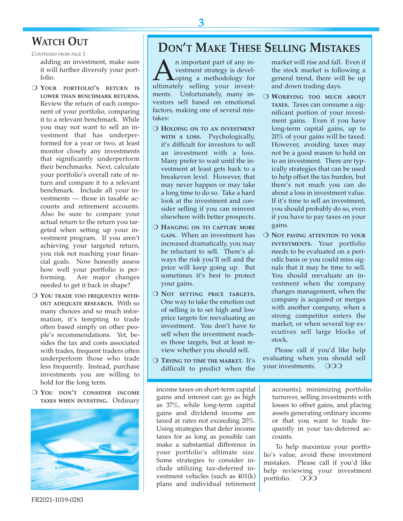#### **WATCH OUT**

*CONTINUED FROM PAGE 1*

adding an investment, make sure it will further diversify your portfolio.

- O YOUR PORTFOLIO'S RETURN IS **LOWER THAN BENCHMARK RETURNS.** Review the return of each component of your portfolio, comparing it to a relevant benchmark. While you may not want to sell an investment that has underperformed for a year or two, at least monitor closely any investments that significantly underperform their benchmarks. Next, calculate your portfolio's overall rate of return and compare it to a relevant benchmark. Include all your investments — those in taxable accounts and retirement accounts. Also be sure to compare your actual return to the return you targeted when setting up your investment program. If you aren't achieving your targeted return, you risk not reaching your financial goals. Now honestly assess how well your portfolio is performing. Are major changes needed to get it back in shape?
- **O YOU TRADE TOO FREQUENTLY WITH-OUT ADEQUATE RESEARCH.** With so many choices and so much information, it's tempting to trade often based simply on other people's recommendations. Yet, besides the tax and costs associated with trades, frequent traders often underperform those who trade less frequently. Instead, purchase investments you are willing to hold for the long term.
- O YOU DON'T CONSIDER INCOME **TAXES WHEN INVESTING.** Ordinary



### **DON'T MAKE THESE SELLING MISTAKES**

An important part of any investment strategy is devel-<br>
oping a methodology for<br>
ultimately selling your investvestment strategy is devel-**Loping a methodology for** ments. Unfortunately, many investors sell based on emotional factors, making one of several mistakes:

- **O HOLDING ON TO AN INVESTMENT WITH A LOSS.** Psychologically, it's difficult for investors to sell an investment with a loss. Many prefer to wait until the investment at least gets back to a breakeven level. However, that may never happen or may take a long time to do so. Take a hard look at the investment and consider selling if you can reinvest elsewhere with better prospects.
- O HANGING ON TO CAPTURE MORE **GAIN.** When an investment has increased dramatically, you may be reluctant to sell. There's always the risk you'll sell and the price will keep going up. But sometimes it's best to protect your gains.
- O NOT SETTING PRICE TARGETS. One way to take the emotion out of selling is to set high and low price targets for reevaluating an investment. You don't have to sell when the investment reaches those targets, but at least review whether you should sell.
- O TRYING TO TIME THE MARKET. It's difficult to predict when the

market will rise and fall. Even if the stock market is following a general trend, there will be up and down trading days.

- O WORRYING TOO MUCH ABOUT **TAXES.** Taxes can consume a significant portion of your investment gains. Even if you have long-term capital gains, up to 20% of your gains will be taxed. However, avoiding taxes may not be a good reason to hold on to an investment. There are typically strategies that can be used to help offset the tax burden, but there's not much you can do about a loss in investment value. If it's time to sell an investment, you should probably do so, even if you have to pay taxes on your gains.
- O **NOT PAYING ATTENTION TO YOUR INVESTMENTS.** Your portfolio needs to be evaluated on a periodic basis or you could miss signals that it may be time to sell. You should reevaluate an investment when the company changes management, when the company is acquired or merges with another company, when a strong competitor enters the market, or when several top executives sell large blocks of stock.

Please call if you'd like help evaluating when you should sell your investments. OOO

income taxes on short-term capital gains and interest can go as high as 37%, while long-term capital gains and dividend income are taxed at rates not exceeding 20%. Using strategies that defer income taxes for as long as possible can make a substantial difference in your portfolio's ultimate size. Some strategies to consider include utilizing tax-deferred investment vehicles (such as 401(k) plans and individual retirement

accounts), minimizing portfolio turnover, selling investments with losses to offset gains, and placing assets generating ordinary income or that you want to trade frequently in your tax-deferred accounts.

To help maximize your portfolio's value, avoid these investment mistakes. Please call if you'd like help reviewing your investment portfolio. OOO

FR2021-1019-0283